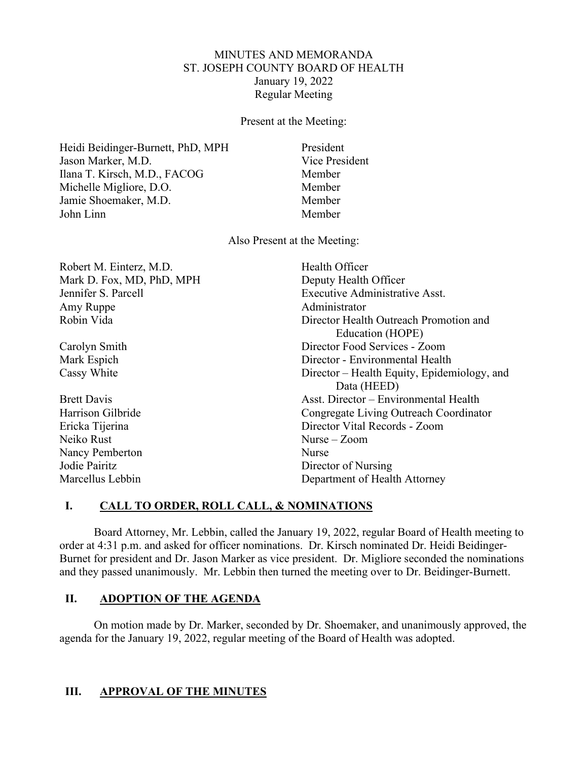## MINUTES AND MEMORANDA ST. JOSEPH COUNTY BOARD OF HEALTH January 19, 2022 Regular Meeting

Present at the Meeting:

Heidi Beidinger-Burnett, PhD, MPH President Jason Marker, M.D. Vice President Ilana T. Kirsch, M.D., FACOG Member Michelle Migliore, D.O. Member Jamie Shoemaker, M.D. Member John Linn Member

Also Present at the Meeting:

| Robert M. Einterz, M.D.   | Health Officer                              |
|---------------------------|---------------------------------------------|
| Mark D. Fox, MD, PhD, MPH | Deputy Health Officer                       |
| Jennifer S. Parcell       | Executive Administrative Asst.              |
| Amy Ruppe                 | Administrator                               |
| Robin Vida                | Director Health Outreach Promotion and      |
|                           | Education (HOPE)                            |
| Carolyn Smith             | Director Food Services - Zoom               |
| Mark Espich               | Director - Environmental Health             |
| Cassy White               | Director – Health Equity, Epidemiology, and |
|                           | Data (HEED)                                 |
| <b>Brett Davis</b>        | Asst. Director – Environmental Health       |
| Harrison Gilbride         | Congregate Living Outreach Coordinator      |
| Ericka Tijerina           | Director Vital Records - Zoom               |
| Neiko Rust                | Nurse $-$ Zoom                              |
| Nancy Pemberton           | Nurse                                       |
| Jodie Pairitz             | Director of Nursing                         |
| Marcellus Lebbin          | Department of Health Attorney               |

# **I. CALL TO ORDER, ROLL CALL, & NOMINATIONS**

Board Attorney, Mr. Lebbin, called the January 19, 2022, regular Board of Health meeting to order at 4:31 p.m. and asked for officer nominations. Dr. Kirsch nominated Dr. Heidi Beidinger-Burnet for president and Dr. Jason Marker as vice president. Dr. Migliore seconded the nominations and they passed unanimously. Mr. Lebbin then turned the meeting over to Dr. Beidinger-Burnett.

# **II. ADOPTION OF THE AGENDA**

On motion made by Dr. Marker, seconded by Dr. Shoemaker, and unanimously approved, the agenda for the January 19, 2022, regular meeting of the Board of Health was adopted.

# **III. APPROVAL OF THE MINUTES**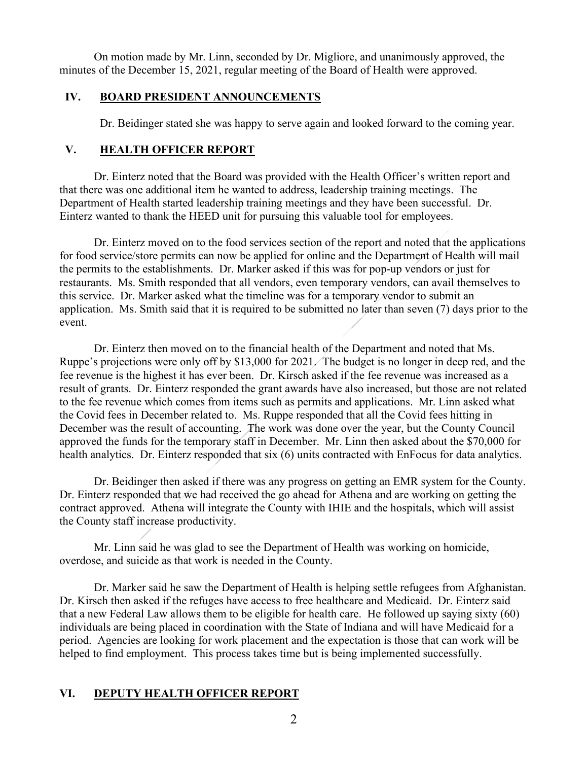On motion made by Mr. Linn, seconded by Dr. Migliore, and unanimously approved, the minutes of the December 15, 2021, regular meeting of the Board of Health were approved.

## **IV. BOARD PRESIDENT ANNOUNCEMENTS**

Dr. Beidinger stated she was happy to serve again and looked forward to the coming year.

# **V. HEALTH OFFICER REPORT**

Dr. Einterz noted that the Board was provided with the Health Officer's written report and that there was one additional item he wanted to address, leadership training meetings. The Department of Health started leadership training meetings and they have been successful. Dr. Einterz wanted to thank the HEED unit for pursuing this valuable tool for employees.

Dr. Einterz moved on to the food services section of the report and noted that the applications for food service/store permits can now be applied for online and the Department of Health will mail the permits to the establishments. Dr. Marker asked if this was for pop-up vendors or just for restaurants. Ms. Smith responded that all vendors, even temporary vendors, can avail themselves to this service. Dr. Marker asked what the timeline was for a temporary vendor to submit an application. Ms. Smith said that it is required to be submitted no later than seven (7) days prior to the event.

Dr. Einterz then moved on to the financial health of the Department and noted that Ms. Ruppe's projections were only off by \$13,000 for 2021. The budget is no longer in deep red, and the fee revenue is the highest it has ever been. Dr. Kirsch asked if the fee revenue was increased as a result of grants. Dr. Einterz responded the grant awards have also increased, but those are not related to the fee revenue which comes from items such as permits and applications. Mr. Linn asked what the Covid fees in December related to. Ms. Ruppe responded that all the Covid fees hitting in December was the result of accounting. The work was done over the year, but the County Council approved the funds for the temporary staff in December. Mr. Linn then asked about the \$70,000 for health analytics. Dr. Einterz responded that six (6) units contracted with EnFocus for data analytics.

Dr. Beidinger then asked if there was any progress on getting an EMR system for the County. Dr. Einterz responded that we had received the go ahead for Athena and are working on getting the contract approved. Athena will integrate the County with IHIE and the hospitals, which will assist the County staff increase productivity.

Mr. Linn said he was glad to see the Department of Health was working on homicide, overdose, and suicide as that work is needed in the County.

Dr. Marker said he saw the Department of Health is helping settle refugees from Afghanistan. Dr. Kirsch then asked if the refuges have access to free healthcare and Medicaid. Dr. Einterz said that a new Federal Law allows them to be eligible for health care. He followed up saying sixty (60) individuals are being placed in coordination with the State of Indiana and will have Medicaid for a period. Agencies are looking for work placement and the expectation is those that can work will be helped to find employment. This process takes time but is being implemented successfully.

# **VI. DEPUTY HEALTH OFFICER REPORT**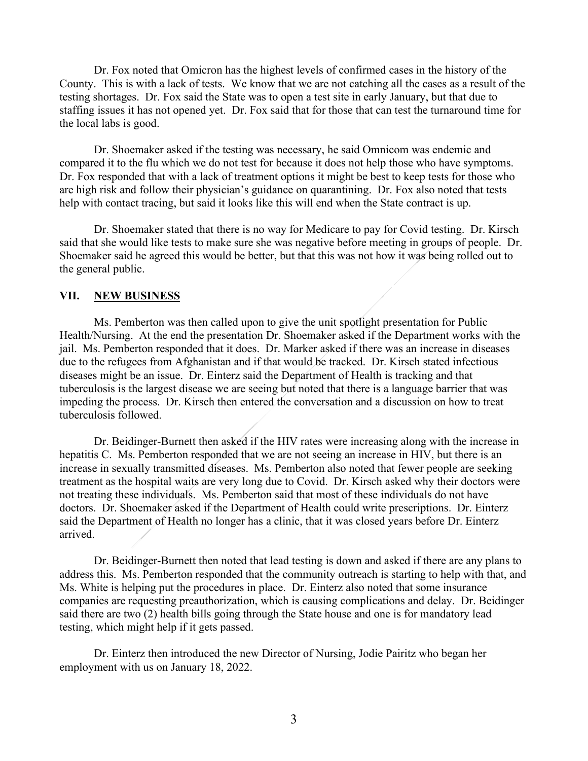Dr. Fox noted that Omicron has the highest levels of confirmed cases in the history of the County. This is with a lack of tests. We know that we are not catching all the cases as a result of the testing shortages. Dr. Fox said the State was to open a test site in early January, but that due to staffing issues it has not opened yet. Dr. Fox said that for those that can test the turnaround time for the local labs is good.

Dr. Shoemaker asked if the testing was necessary, he said Omnicom was endemic and compared it to the flu which we do not test for because it does not help those who have symptoms. Dr. Fox responded that with a lack of treatment options it might be best to keep tests for those who are high risk and follow their physician's guidance on quarantining. Dr. Fox also noted that tests help with contact tracing, but said it looks like this will end when the State contract is up.

Dr. Shoemaker stated that there is no way for Medicare to pay for Covid testing. Dr. Kirsch said that she would like tests to make sure she was negative before meeting in groups of people. Dr. Shoemaker said he agreed this would be better, but that this was not how it was being rolled out to the general public.

### **VII. NEW BUSINESS**

Ms. Pemberton was then called upon to give the unit spotlight presentation for Public Health/Nursing. At the end the presentation Dr. Shoemaker asked if the Department works with the jail. Ms. Pemberton responded that it does. Dr. Marker asked if there was an increase in diseases due to the refugees from Afghanistan and if that would be tracked. Dr. Kirsch stated infectious diseases might be an issue. Dr. Einterz said the Department of Health is tracking and that tuberculosis is the largest disease we are seeing but noted that there is a language barrier that was impeding the process. Dr. Kirsch then entered the conversation and a discussion on how to treat tuberculosis followed.

Dr. Beidinger-Burnett then asked if the HIV rates were increasing along with the increase in hepatitis C. Ms. Pemberton responded that we are not seeing an increase in HIV, but there is an increase in sexually transmitted diseases. Ms. Pemberton also noted that fewer people are seeking treatment as the hospital waits are very long due to Covid. Dr. Kirsch asked why their doctors were not treating these individuals. Ms. Pemberton said that most of these individuals do not have doctors. Dr. Shoemaker asked if the Department of Health could write prescriptions. Dr. Einterz said the Department of Health no longer has a clinic, that it was closed years before Dr. Einterz arrived.

Dr. Beidinger-Burnett then noted that lead testing is down and asked if there are any plans to address this. Ms. Pemberton responded that the community outreach is starting to help with that, and Ms. White is helping put the procedures in place. Dr. Einterz also noted that some insurance companies are requesting preauthorization, which is causing complications and delay. Dr. Beidinger said there are two (2) health bills going through the State house and one is for mandatory lead testing, which might help if it gets passed.

Dr. Einterz then introduced the new Director of Nursing, Jodie Pairitz who began her employment with us on January 18, 2022.